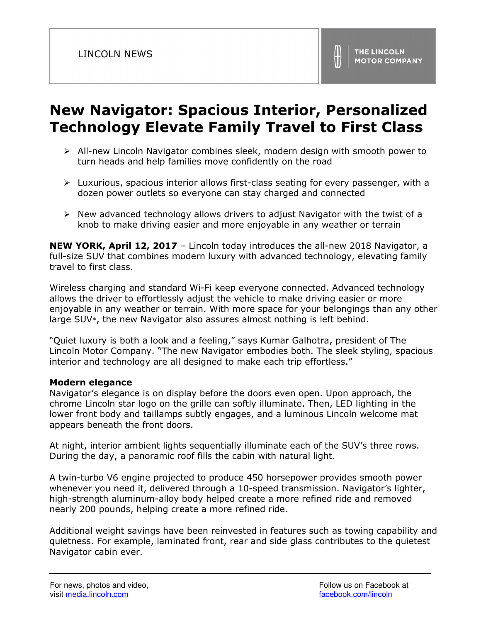# **New Navigator: Spacious Interior, Personalized Technology Elevate Family Travel to First Class**

- All-new Lincoln Navigator combines sleek, modern design with smooth power to turn heads and help families move confidently on the road
- $\triangleright$  Luxurious, spacious interior allows first-class seating for every passenger, with a dozen power outlets so everyone can stay charged and connected
- $\triangleright$  New advanced technology allows drivers to adjust Navigator with the twist of a knob to make driving easier and more enjoyable in any weather or terrain

**NEW YORK, April 12, 2017** – Lincoln today introduces the all-new 2018 Navigator, a full-size SUV that combines modern luxury with advanced technology, elevating family travel to first class.

Wireless charging and standard Wi-Fi keep everyone connected. Advanced technology allows the driver to effortlessly adjust the vehicle to make driving easier or more enjoyable in any weather or terrain. With more space for your belongings than any other large SUV\*, the new Navigator also assures almost nothing is left behind.

"Quiet luxury is both a look and a feeling," says Kumar Galhotra, president of The Lincoln Motor Company. "The new Navigator embodies both. The sleek styling, spacious interior and technology are all designed to make each trip effortless."

### **Modern elegance**

Navigator's elegance is on display before the doors even open. Upon approach, the chrome Lincoln star logo on the grille can softly illuminate. Then, LED lighting in the lower front body and taillamps subtly engages, and a luminous Lincoln welcome mat appears beneath the front doors.

At night, interior ambient lights sequentially illuminate each of the SUV's three rows. During the day, a panoramic roof fills the cabin with natural light.

A twin-turbo V6 engine projected to produce 450 horsepower provides smooth power whenever you need it, delivered through a 10-speed transmission. Navigator's lighter, high-strength aluminum-alloy body helped create a more refined ride and removed nearly 200 pounds, helping create a more refined ride.

Additional weight savings have been reinvested in features such as towing capability and quietness. For example, laminated front, rear and side glass contributes to the quietest Navigator cabin ever.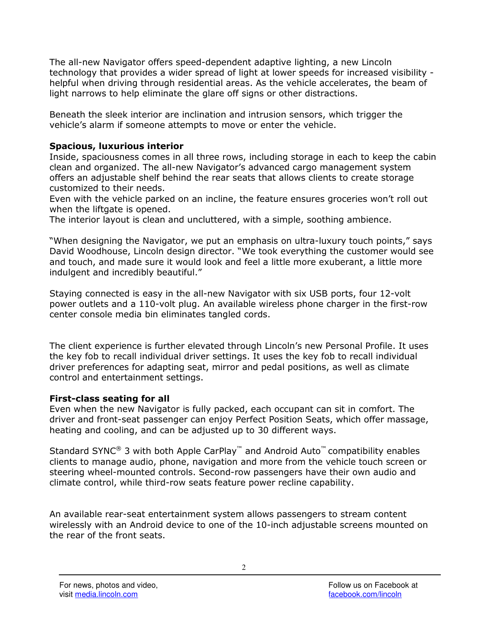The all-new Navigator offers speed-dependent adaptive lighting, a new Lincoln technology that provides a wider spread of light at lower speeds for increased visibility helpful when driving through residential areas. As the vehicle accelerates, the beam of light narrows to help eliminate the glare off signs or other distractions.

Beneath the sleek interior are inclination and intrusion sensors, which trigger the vehicle's alarm if someone attempts to move or enter the vehicle.

## **Spacious, luxurious interior**

Inside, spaciousness comes in all three rows, including storage in each to keep the cabin clean and organized. The all-new Navigator's advanced cargo management system offers an adjustable shelf behind the rear seats that allows clients to create storage customized to their needs.

Even with the vehicle parked on an incline, the feature ensures groceries won't roll out when the liftgate is opened.

The interior layout is clean and uncluttered, with a simple, soothing ambience.

"When designing the Navigator, we put an emphasis on ultra-luxury touch points," says David Woodhouse, Lincoln design director. "We took everything the customer would see and touch, and made sure it would look and feel a little more exuberant, a little more indulgent and incredibly beautiful."

Staying connected is easy in the all-new Navigator with six USB ports, four 12-volt power outlets and a 110-volt plug. An available wireless phone charger in the first-row center console media bin eliminates tangled cords.

The client experience is further elevated through Lincoln's new Personal Profile. It uses the key fob to recall individual driver settings. It uses the key fob to recall individual driver preferences for adapting seat, mirror and pedal positions, as well as climate control and entertainment settings.

# **First-class seating for all**

Even when the new Navigator is fully packed, each occupant can sit in comfort. The driver and front-seat passenger can enjoy Perfect Position Seats, which offer massage, heating and cooling, and can be adjusted up to 30 different ways.

Standard SYNC® 3 with both Apple CarPlay™ and Android Auto™ compatibility enables clients to manage audio, phone, navigation and more from the vehicle touch screen or steering wheel-mounted controls. Second-row passengers have their own audio and climate control, while third-row seats feature power recline capability.

An available rear-seat entertainment system allows passengers to stream content wirelessly with an Android device to one of the 10-inch adjustable screens mounted on the rear of the front seats.